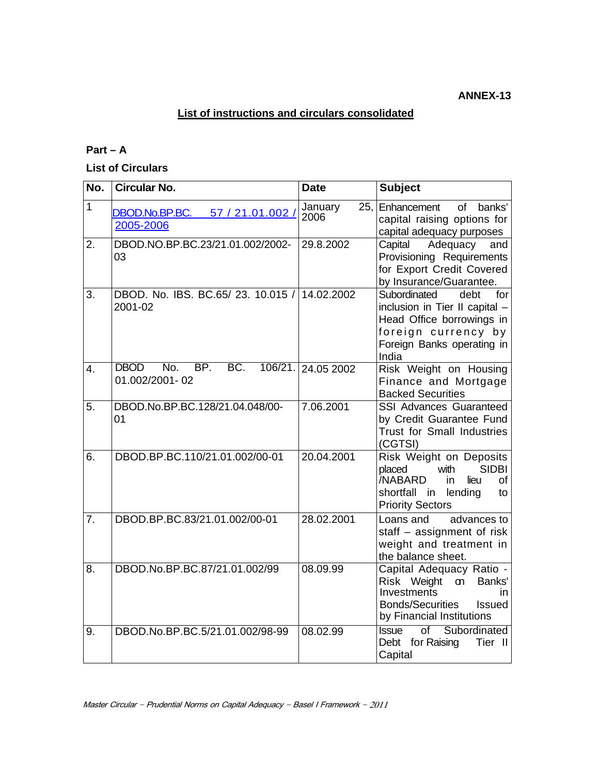## **List of instructions and circulars consolidated**

## **Part – A**

**List of Circulars** 

| No.              | <b>Circular No.</b>                                     | <b>Date</b>            | <b>Subject</b>                                                                                                                                             |
|------------------|---------------------------------------------------------|------------------------|------------------------------------------------------------------------------------------------------------------------------------------------------------|
| $\mathbf{1}$     | DBOD.No.BP.BC.<br>57 / 21.01.002 /<br>2005-2006         | January<br>25.<br>2006 | Enhancement<br>of<br>banks'<br>capital raising options for<br>capital adequacy purposes                                                                    |
| 2.               | DBOD.NO.BP.BC.23/21.01.002/2002-<br>03                  | 29.8.2002              | Adequacy<br>Capital<br>and<br>Provisioning Requirements<br>for Export Credit Covered<br>by Insurance/Guarantee.                                            |
| 3.               | DBOD. No. IBS. BC.65/23. 10.015 / 14.02.2002<br>2001-02 |                        | Subordinated<br>debt<br>for<br>inclusion in Tier II capital -<br>Head Office borrowings in<br>foreign currency by<br>Foreign Banks operating in<br>India   |
| $\overline{4}$ . | <b>DBOD</b><br>BP.<br>BC.<br>No.<br>01.002/2001-02      | 106/21. 24.05 2002     | Risk Weight on Housing<br>Finance and Mortgage<br><b>Backed Securities</b>                                                                                 |
| 5.               | DBOD.No.BP.BC.128/21.04.048/00-<br>01                   | 7.06.2001              | <b>SSI Advances Guaranteed</b><br>by Credit Guarantee Fund<br><b>Trust for Small Industries</b><br>(CGTSI)                                                 |
| 6.               | DBOD.BP.BC.110/21.01.002/00-01                          | 20.04.2001             | Risk Weight on Deposits<br><b>SIDBI</b><br>placed<br>with<br><b>NABARD</b><br>lieu<br>οf<br>in<br>shortfall in<br>lending<br>to<br><b>Priority Sectors</b> |
| 7.               | DBOD.BP.BC.83/21.01.002/00-01                           | 28.02.2001             | Loans and<br>advances to<br>staff - assignment of risk<br>weight and treatment in<br>the balance sheet.                                                    |
| 8.               | DBOD.No.BP.BC.87/21.01.002/99                           | 08.09.99               | Capital Adequacy Ratio -<br>Risk Weight<br>Banks'<br>m<br>Investments<br>in.<br><b>Bonds/Securities</b><br><b>Issued</b><br>by Financial Institutions      |
| 9.               | DBOD.No.BP.BC.5/21.01.002/98-99                         | 08.02.99               | Subordinated<br>$\overline{of}$<br><b>Issue</b><br>Debt for Raising<br>Tier II<br>Capital                                                                  |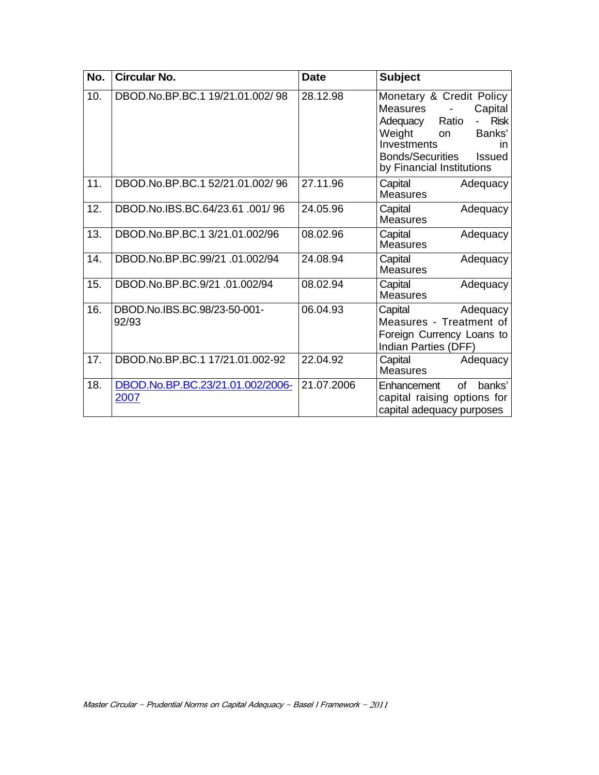| No. | <b>Circular No.</b>                      | <b>Date</b> | <b>Subject</b>                                                                                                                                                                                                             |
|-----|------------------------------------------|-------------|----------------------------------------------------------------------------------------------------------------------------------------------------------------------------------------------------------------------------|
| 10. | DBOD.No.BP.BC.1 19/21.01.002/98          | 28.12.98    | Monetary & Credit Policy<br><b>Measures</b><br>Capital<br><b>Risk</b><br>Ratio<br>Adequacy<br>Banks'<br>Weight<br><b>on</b><br>Investments<br>in.<br><b>Bonds/Securities</b><br><b>Issued</b><br>by Financial Institutions |
| 11. | DBOD.No.BP.BC.1 52/21.01.002/96          | 27.11.96    | Capital<br>Adequacy<br><b>Measures</b>                                                                                                                                                                                     |
| 12. | DBOD.No.IBS.BC.64/23.61.001/96           | 24.05.96    | Capital<br>Adequacy<br><b>Measures</b>                                                                                                                                                                                     |
| 13. | DBOD.No.BP.BC.1 3/21.01.002/96           | 08.02.96    | Capital<br>Adequacy<br><b>Measures</b>                                                                                                                                                                                     |
| 14. | DBOD.No.BP.BC.99/21 .01.002/94           | 24.08.94    | Capital<br>Adequacy<br><b>Measures</b>                                                                                                                                                                                     |
| 15. | DBOD.No.BP.BC.9/21.01.002/94             | 08.02.94    | Capital<br>Adequacy<br>Measures                                                                                                                                                                                            |
| 16. | DBOD.No.IBS.BC.98/23-50-001-<br>92/93    | 06.04.93    | Capital<br>Adequacy<br>Measures - Treatment of<br>Foreign Currency Loans to<br>Indian Parties (DFF)                                                                                                                        |
| 17. | DBOD.No.BP.BC.1 17/21.01.002-92          | 22.04.92    | Capital<br>Adequacy<br><b>Measures</b>                                                                                                                                                                                     |
| 18. | DBOD.No.BP.BC.23/21.01.002/2006-<br>2007 | 21.07.2006  | of<br>banks'<br>Enhancement<br>capital raising options for<br>capital adequacy purposes                                                                                                                                    |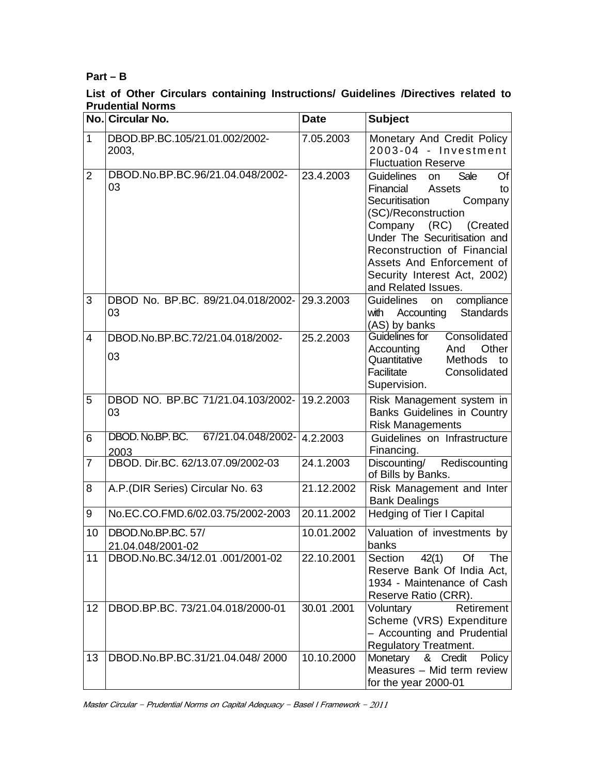## **Part – B**

## **List of Other Circulars containing Instructions/ Guidelines /Directives related to Prudential Norms**

|                | No. Circular No.                                     | <b>Date</b> | <b>Subject</b>                                                                                                                                                                                                                                                                                            |
|----------------|------------------------------------------------------|-------------|-----------------------------------------------------------------------------------------------------------------------------------------------------------------------------------------------------------------------------------------------------------------------------------------------------------|
| $\mathbf{1}$   | DBOD.BP.BC.105/21.01.002/2002-<br>2003,              | 7.05.2003   | Monetary And Credit Policy<br>2003-04 - Investment<br><b>Fluctuation Reserve</b>                                                                                                                                                                                                                          |
| $\overline{2}$ | DBOD.No.BP.BC.96/21.04.048/2002-<br>03               | 23.4.2003   | Guidelines<br>Of<br><b>Sale</b><br><b>on</b><br>Financial<br>Assets<br>to<br>Securitisation<br>Company<br>(SC)/Reconstruction<br>Company (RC) (Created<br>Under The Securitisation and<br>Reconstruction of Financial<br>Assets And Enforcement of<br>Security Interest Act, 2002)<br>and Related Issues. |
| 3              | DBOD No. BP.BC. 89/21.04.018/2002- 29.3.2003<br>03   |             | <b>Guidelines</b><br>compliance<br>on<br>with<br>Accounting<br><b>Standards</b><br>(AS) by banks                                                                                                                                                                                                          |
| $\overline{4}$ | DBOD.No.BP.BC.72/21.04.018/2002-<br>03               | 25.2.2003   | Guidelines for<br>Consolidated<br>Other<br>Accounting<br>And<br>Quantitative<br><b>Methods</b><br>to<br>Facilitate<br>Consolidated<br>Supervision.                                                                                                                                                        |
| 5              | DBOD NO. BP.BC 71/21.04.103/2002-19.2.2003<br>03     |             | Risk Management system in<br><b>Banks Guidelines in Country</b><br><b>Risk Managements</b>                                                                                                                                                                                                                |
| 6              | DBOD. No.BP. BC. 67/21.04.048/2002- 4.2.2003<br>2003 |             | Guidelines on Infrastructure<br>Financing.                                                                                                                                                                                                                                                                |
| 7              | DBOD. Dir.BC. 62/13.07.09/2002-03                    | 24.1.2003   | Discounting/ Rediscounting<br>of Bills by Banks.                                                                                                                                                                                                                                                          |
| 8              | A.P. (DIR Series) Circular No. 63                    | 21.12.2002  | Risk Management and Inter<br><b>Bank Dealings</b>                                                                                                                                                                                                                                                         |
| 9              | No.EC.CO.FMD.6/02.03.75/2002-2003                    | 20.11.2002  | Hedging of Tier I Capital                                                                                                                                                                                                                                                                                 |
| 10             | DBOD.No.BP.BC. 57/<br>21.04.048/2001-02              | 10.01.2002  | Valuation of investments by<br>banks                                                                                                                                                                                                                                                                      |
| 11             | DBOD.No.BC.34/12.01.001/2001-02                      | 22.10.2001  | 42(1) Of<br>Section<br>The<br>Reserve Bank Of India Act,<br>1934 - Maintenance of Cash<br>Reserve Ratio (CRR).                                                                                                                                                                                            |
| 12             | DBOD.BP.BC. 73/21.04.018/2000-01                     | 30.01.2001  | <b>Retirement</b><br>Voluntary<br>Scheme (VRS) Expenditure<br>- Accounting and Prudential<br><b>Regulatory Treatment.</b>                                                                                                                                                                                 |
| 13             | DBOD.No.BP.BC.31/21.04.048/2000                      | 10.10.2000  | Monetary & Credit<br><b>Policy</b><br>Measures - Mid term review<br>for the year 2000-01                                                                                                                                                                                                                  |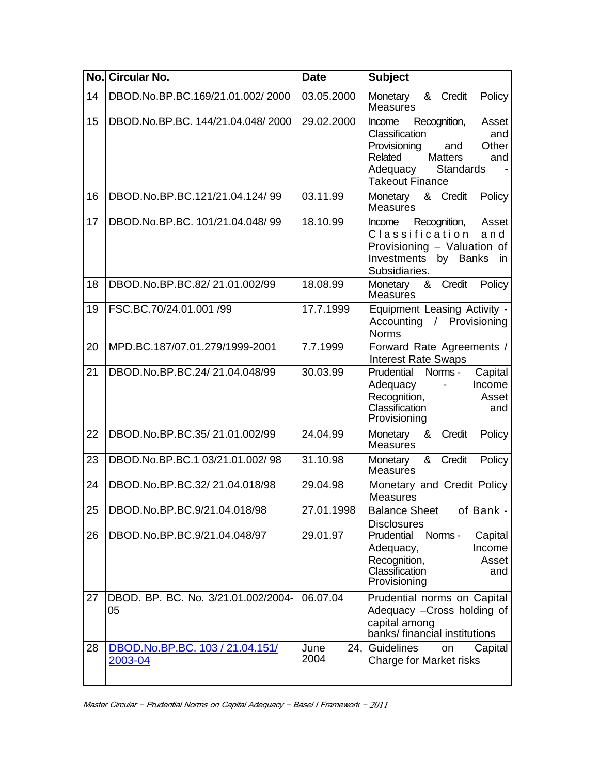|    | No. Circular No.                           | <b>Date</b>         | <b>Subject</b>                                                                                                                                                                         |
|----|--------------------------------------------|---------------------|----------------------------------------------------------------------------------------------------------------------------------------------------------------------------------------|
| 14 | DBOD.No.BP.BC.169/21.01.002/2000           | 03.05.2000          | Policy<br>Monetary<br>& Credit<br><b>Measures</b>                                                                                                                                      |
| 15 | DBOD.No.BP.BC. 144/21.04.048/2000          | 29.02.2000          | Recognition,<br>Asset<br><b>Income</b><br>Classification<br>and<br>Provisioning<br>Other<br>and<br>Related<br><b>Matters</b><br>and<br>Adequacy<br>Standards<br><b>Takeout Finance</b> |
| 16 | DBOD.No.BP.BC.121/21.04.124/99             | 03.11.99            | & Credit<br>Policy<br>Monetary<br><b>Measures</b>                                                                                                                                      |
| 17 | DBOD.No.BP.BC. 101/21.04.048/99            | 18.10.99            | Recognition,<br>Asset<br>Income<br>Classification<br>and<br>Provisioning - Valuation of<br>Investments<br>by Banks<br>in<br>Subsidiaries.                                              |
| 18 | DBOD.No.BP.BC.82/21.01.002/99              | 18.08.99            | & Credit<br>Policy<br>Monetary<br><b>Measures</b>                                                                                                                                      |
| 19 | FSC.BC.70/24.01.001 /99                    | 17.7.1999           | Equipment Leasing Activity -<br>Accounting / Provisioning<br><b>Norms</b>                                                                                                              |
| 20 | MPD.BC.187/07.01.279/1999-2001             | 7.7.1999            | Forward Rate Agreements /<br><b>Interest Rate Swaps</b>                                                                                                                                |
| 21 | DBOD.No.BP.BC.24/21.04.048/99              | 30.03.99            | Prudential<br>Norms -<br>Capital<br>Adequacy<br>Income<br>$\blacksquare$<br>Recognition,<br>Asset<br>Classification<br>and<br>Provisioning                                             |
| 22 | DBOD.No.BP.BC.35/21.01.002/99              | 24.04.99            | Credit<br>Policy<br>Monetary<br>&<br><b>Measures</b>                                                                                                                                   |
| 23 | DBOD.No.BP.BC.1 03/21.01.002/98            | 31.10.98            | & Credit<br>Policy<br>Monetary<br><b>Measures</b>                                                                                                                                      |
| 24 | DBOD.No.BP.BC.32/21.04.018/98              | 29.04.98            | Monetary and Credit Policy<br><b>Measures</b>                                                                                                                                          |
| 25 | DBOD.No.BP.BC.9/21.04.018/98               | 27.01.1998          | <b>Balance Sheet</b><br>$\overline{of}$ Bank -<br><b>Disclosures</b>                                                                                                                   |
| 26 | DBOD.No.BP.BC.9/21.04.048/97               | 29.01.97            | Prudential<br>Capital<br>Norms -<br>Income<br>Adequacy,<br>Recognition,<br>Asset<br>Classification<br>and<br>Provisioning                                                              |
| 27 | DBOD, BP, BC, No. 3/21.01.002/2004-<br>05  | 06.07.04            | Prudential norms on Capital<br>Adequacy - Cross holding of<br>capital among<br>banks/financial institutions                                                                            |
| 28 | DBOD.No.BP.BC. 103 / 21.04.151/<br>2003-04 | June<br>24,<br>2004 | <b>Guidelines</b><br>Capital<br>on<br>Charge for Market risks                                                                                                                          |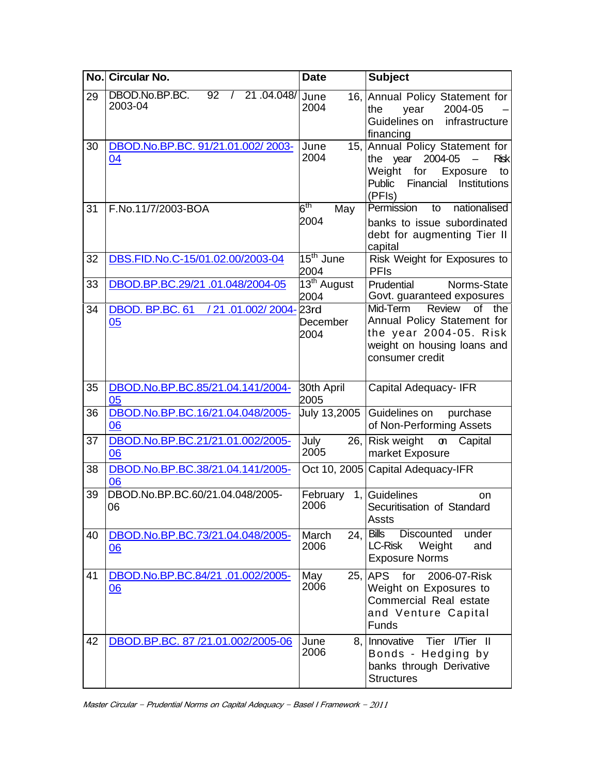| No. | <b>Circular No.</b>                                            | <b>Date</b>                     | <b>Subject</b>                                                                                                                                     |
|-----|----------------------------------------------------------------|---------------------------------|----------------------------------------------------------------------------------------------------------------------------------------------------|
| 29  | DBOD.No.BP.BC.<br>92<br>21.04.048/ June<br>$\prime$<br>2003-04 | 2004                            | 16, Annual Policy Statement for<br>2004-05<br>the<br>year<br>Guidelines on infrastructure<br>financing                                             |
| 30  | DBOD.No.BP.BC. 91/21.01.002/2003-<br>04                        | June<br>2004                    | 15, Annual Policy Statement for<br>the year<br>2004-05<br>Risk<br>Weight<br>for<br>Exposure<br>to<br>Institutions<br>Public<br>Financial<br>(PFIs) |
| 31  | F.No.11/7/2003-BOA                                             | $6^{\sf th}$<br>May<br>2004     | nationalised<br>Permission<br>to<br>banks to issue subordinated<br>debt for augmenting Tier II<br>capital                                          |
| 32  | DBS.FID.No.C-15/01.02.00/2003-04                               | $15th$ June<br>2004             | Risk Weight for Exposures to<br><b>PFIs</b>                                                                                                        |
| 33  | DBOD.BP.BC.29/21.01.048/2004-05                                | 13 <sup>th</sup> August<br>2004 | Prudential<br>Norms-State<br>Govt. guaranteed exposures                                                                                            |
| 34  | DBOD. BP.BC. 61<br>/ 21.01.002/ 2004- 23rd<br>05               | December<br>2004                | Mid-Term<br>Review<br>of<br>the<br>Annual Policy Statement for<br>the year 2004-05. Risk<br>weight on housing loans and<br>consumer credit         |
| 35  | DBOD.No.BP.BC.85/21.04.141/2004-<br>05                         | 30th April<br>2005              | Capital Adequacy- IFR                                                                                                                              |
| 36  | DBOD.No.BP.BC.16/21.04.048/2005-<br>06                         | <b>July 13,2005</b>             | Guidelines on<br>purchase<br>of Non-Performing Assets                                                                                              |
| 37  | DBOD.No.BP.BC.21/21.01.002/2005-<br>06                         | July<br>26,<br>2005             | Risk weight<br>Capital<br>ጣ<br>market Exposure                                                                                                     |
| 38  | DBOD.No.BP.BC.38/21.04.141/2005-<br>06                         |                                 | Oct 10, 2005 Capital Adequacy-IFR                                                                                                                  |
| 39  | DBOD.No.BP.BC.60/21.04.048/2005-<br>06                         | February<br>2006                | 1, Guidelines<br>on<br>Securitisation of Standard<br>Assts                                                                                         |
| 40  | DBOD.No.BP.BC.73/21.04.048/2005-<br>06                         | March<br>24,<br>2006            | <b>Bills</b><br>Discounted<br>under<br>LC-Risk<br>Weight<br>and<br><b>Exposure Norms</b>                                                           |
| 41  | DBOD.No.BP.BC.84/21 .01.002/2005-<br>06                        | May<br>2006                     | 25, APS for 2006-07-Risk<br>Weight on Exposures to<br>Commercial Real estate<br>and Venture Capital<br>Funds                                       |
| 42  | DBOD.BP.BC. 87 /21.01.002/2005-06                              | June<br>8,  <br>2006            | Innovative<br>Tier I/Tier II<br>Bonds - Hedging by<br>banks through Derivative<br><b>Structures</b>                                                |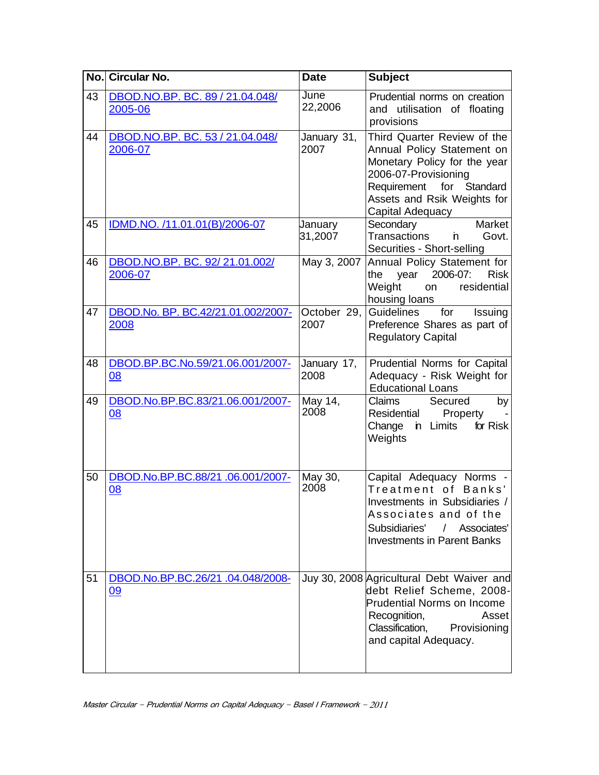|    | No. Circular No.                               | <b>Date</b>         | <b>Subject</b>                                                                                                                                                                                   |
|----|------------------------------------------------|---------------------|--------------------------------------------------------------------------------------------------------------------------------------------------------------------------------------------------|
| 43 | DBOD.NO.BP. BC. 89 / 21.04.048/<br>2005-06     | June<br>22,2006     | Prudential norms on creation<br>and utilisation of floating<br>provisions                                                                                                                        |
| 44 | DBOD.NO.BP. BC. 53 / 21.04.048/<br>2006-07     | January 31,<br>2007 | Third Quarter Review of the<br>Annual Policy Statement on<br>Monetary Policy for the year<br>2006-07-Provisioning<br>Requirement for Standard<br>Assets and Rsik Weights for<br>Capital Adequacy |
| 45 | IDMD.NO. /11.01.01(B)/2006-07                  | January<br>31,2007  | Market<br>Secondary<br><b>Transactions</b><br>'n.<br>Govt.<br>Securities - Short-selling                                                                                                         |
| 46 | DBOD.NO.BP. BC. 92/21.01.002/<br>2006-07       | May 3, 2007         | Annual Policy Statement for<br>2006-07:<br>year<br><b>Risk</b><br>the<br>Weight<br>residential<br>on<br>housing loans                                                                            |
| 47 | DBOD.No. BP. BC.42/21.01.002/2007-<br>2008     | October 29,<br>2007 | Guidelines<br>for<br><b>Issuing</b><br>Preference Shares as part of<br><b>Regulatory Capital</b>                                                                                                 |
| 48 | DBOD.BP.BC.No.59/21.06.001/2007-<br>08         | January 17,<br>2008 | Prudential Norms for Capital<br>Adequacy - Risk Weight for<br><b>Educational Loans</b>                                                                                                           |
| 49 | DBOD.No.BP.BC.83/21.06.001/2007-<br>08         | May 14,<br>2008     | Claims<br>Secured<br>by<br>Residential<br>Property<br>Change in Limits<br>for Risk<br>Weights                                                                                                    |
| 50 | DBOD.No.BP.BC.88/21.06.001/2007-<br>08         | May 30,<br>2008     | Capital Adequacy Norms -<br>Treatment of Banks'<br>Investments in Subsidiaries /<br>Associates and of the<br>Subsidiaries'<br>/ Associates'<br><b>Investments in Parent Banks</b>                |
| 51 | DBOD.No.BP.BC.26/21 .04.048/2008-<br><u>09</u> |                     | Juy 30, 2008 Agricultural Debt Waiver and<br>debt Relief Scheme, 2008-<br><b>Prudential Norms on Income</b><br>Recognition,<br>Asset<br>Classification, Provisioning<br>and capital Adequacy.    |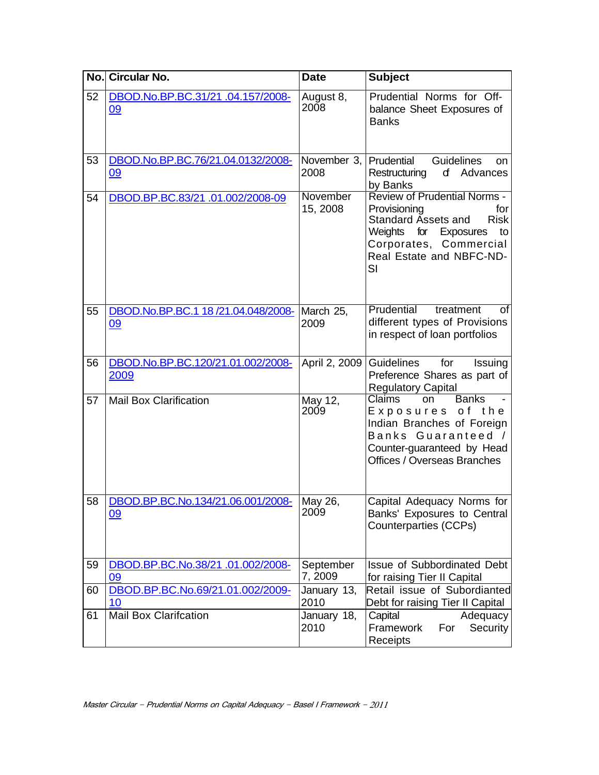|    | No. Circular No.                               | <b>Date</b>          | <b>Subject</b>                                                                                                                                                                                        |
|----|------------------------------------------------|----------------------|-------------------------------------------------------------------------------------------------------------------------------------------------------------------------------------------------------|
| 52 | DBOD.No.BP.BC.31/21 .04.157/2008-<br>09        | August 8,<br>2008    | Prudential Norms for Off-<br>balance Sheet Exposures of<br><b>Banks</b>                                                                                                                               |
| 53 | DBOD.No.BP.BC.76/21.04.0132/2008-<br>09        | November 3,<br>2008  | Prudential<br><b>Guidelines</b><br>on.<br>d Advances<br>Restructuring<br>by Banks                                                                                                                     |
| 54 | DBOD.BP.BC.83/21.01.002/2008-09                | November<br>15, 2008 | <b>Review of Prudential Norms -</b><br>Provisioning<br>for<br><b>Risk</b><br><b>Standard Assets and</b><br>Weights<br>for Exposures<br>to<br>Corporates, Commercial<br>Real Estate and NBFC-ND-<br>SI |
| 55 | DBOD.No.BP.BC.1 18 /21.04.048/2008-<br>09      | March 25,<br>2009    | Prudential<br>treatment<br>οf<br>different types of Provisions<br>in respect of loan portfolios                                                                                                       |
| 56 | DBOD.No.BP.BC.120/21.01.002/2008-<br>2009      | April 2, 2009        | for<br>Guidelines<br>Issuing<br>Preference Shares as part of<br><b>Regulatory Capital</b>                                                                                                             |
| 57 | <b>Mail Box Clarification</b>                  | May 12,<br>2009      | <b>Claims</b><br><b>Banks</b><br>on<br>Exposures of the<br>Indian Branches of Foreign<br>Banks Guaranteed /<br>Counter-guaranteed by Head<br>Offices / Overseas Branches                              |
| 58 | DBOD.BP.BC.No.134/21.06.001/2008-<br><u>09</u> | May 26,<br>2009      | Capital Adequacy Norms for<br>Banks' Exposures to Central<br><b>Counterparties (CCPs)</b>                                                                                                             |
| 59 | DBOD.BP.BC.No.38/21.01.002/2008-<br>09         | September<br>7, 2009 | <b>Issue of Subbordinated Debt</b><br>for raising Tier II Capital                                                                                                                                     |
| 60 | DBOD.BP.BC.No.69/21.01.002/2009-<br>10         | January 13,<br>2010  | Retail issue of Subordianted<br>Debt for raising Tier II Capital                                                                                                                                      |
| 61 | <b>Mail Box Clarifcation</b>                   | January 18,<br>2010  | Capital<br>Adequacy<br>Framework<br>For<br>Security<br>Receipts                                                                                                                                       |